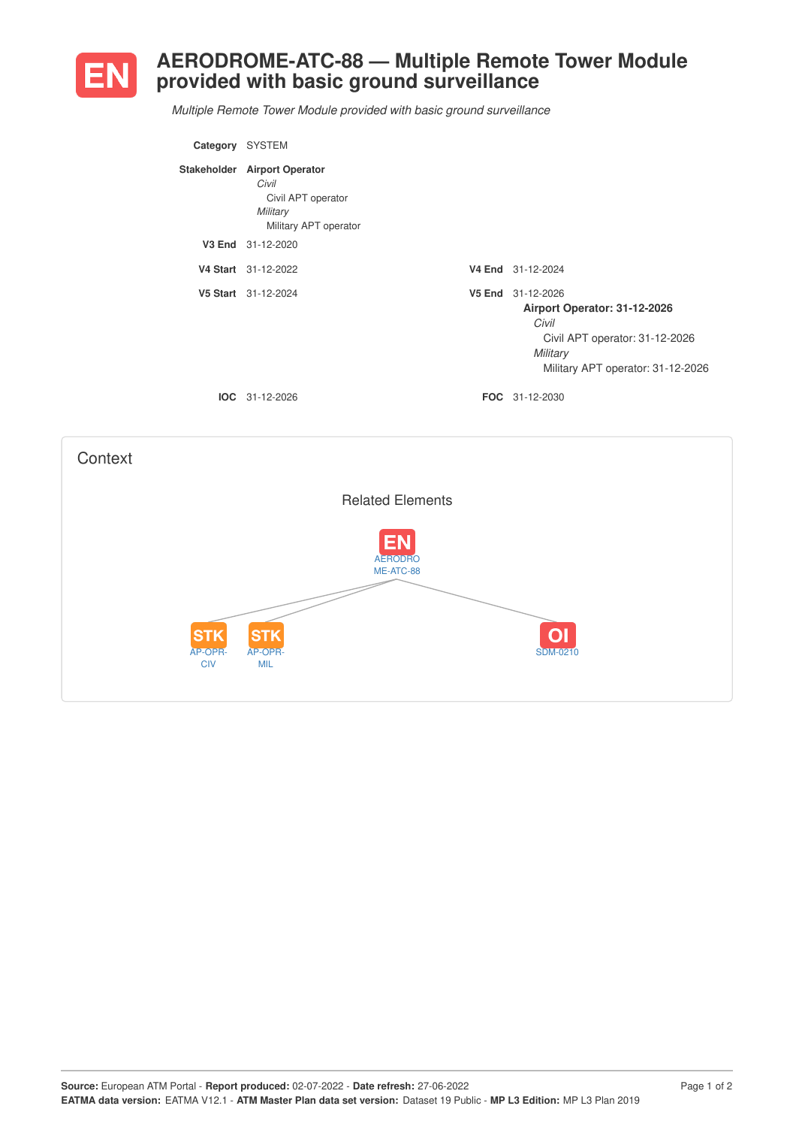

## **AERODROME-ATC-88 — Multiple Remote Tower Module provided with basic ground surveillance**

*Multiple Remote Tower Module provided with basic ground surveillance*

| Category | <b>SYSTEM</b>                                                                                    |                                                                                                                                               |
|----------|--------------------------------------------------------------------------------------------------|-----------------------------------------------------------------------------------------------------------------------------------------------|
|          | Stakeholder Airport Operator<br>Civil<br>Civil APT operator<br>Military<br>Military APT operator |                                                                                                                                               |
|          | V3 End 31-12-2020                                                                                |                                                                                                                                               |
|          | V4 Start 31-12-2022                                                                              | V4 End 31-12-2024                                                                                                                             |
|          | V5 Start 31-12-2024                                                                              | V5 End 31-12-2026<br>Airport Operator: 31-12-2026<br>Civil<br>Civil APT operator: 31-12-2026<br>Military<br>Military APT operator: 31-12-2026 |
| IOC.     | 31-12-2026                                                                                       | <b>FOC</b> 31-12-2030                                                                                                                         |